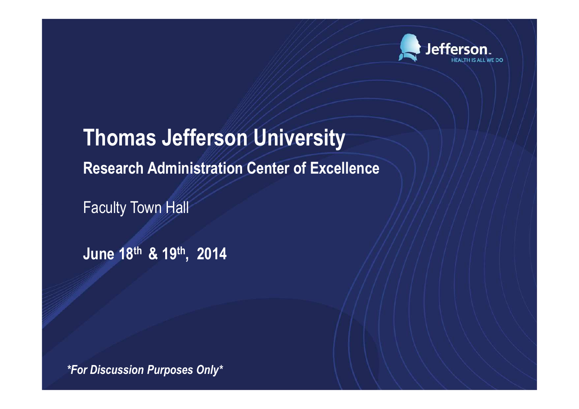

**Thomas Jefferson UniversityResearch Administration Center of Excellence**

Faculty Town Hall

**June 18th & 19th, 2014**

*\*For Discussion Purposes Only\**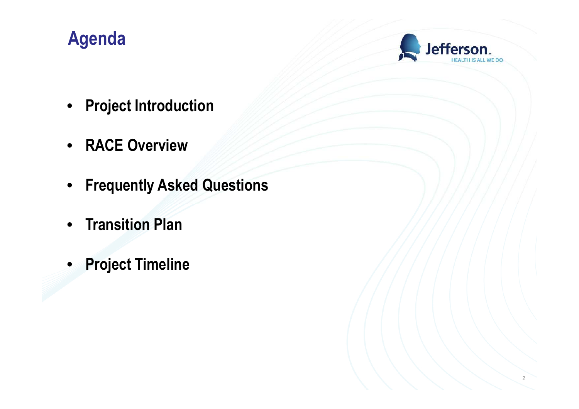### **Agenda**



- **Project Introduction**
- **RACE Overview**
- **Frequently Asked Questions**
- **Transition Plan**
- **Project Timeline**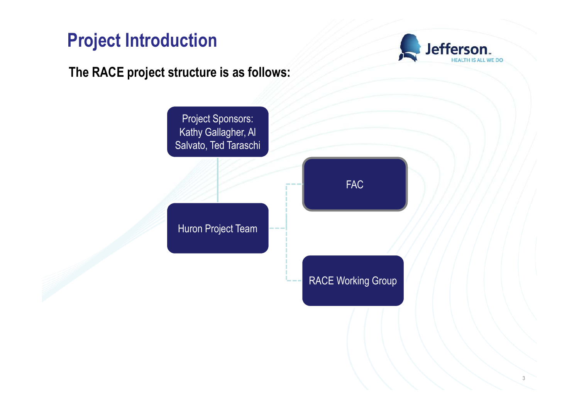### **Project Introduction**

**Jefferson** 

### **The RACE project structure is as follows:**

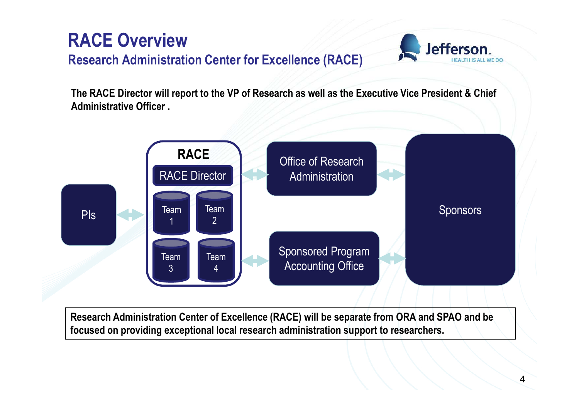



**The RACE Director will report to the VP of Research as well as the Executive Vice President & Chief Administrative Officer .** 



**Research Administration Center of Excellence (RACE) will be separate from ORA and SPAO and be focused on providing exceptional local research administration support to researchers.**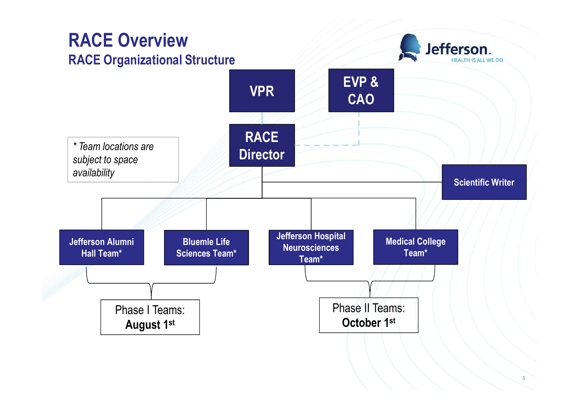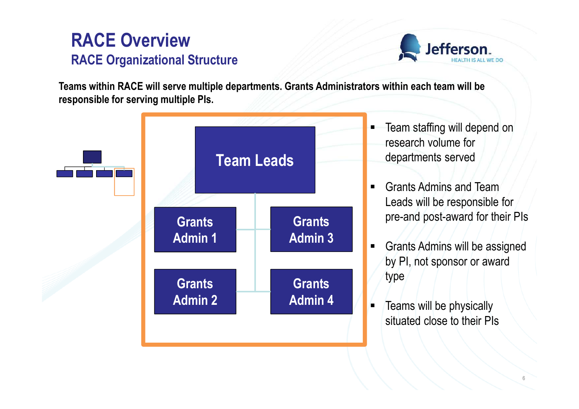### **RACE OverviewRACE Organizational Structure**



**Teams within RACE will serve multiple departments. Grants Administrators within each team will be responsible for serving multiple PIs.** 



- Team staffing will depend on research volume for departments served
- Grants Admins and Team Leads will be responsible for pre-and post-award for their PIs
- Grants Admins will be assigned by PI, not sponsor or award
- Teams will be physically situated close to their PIs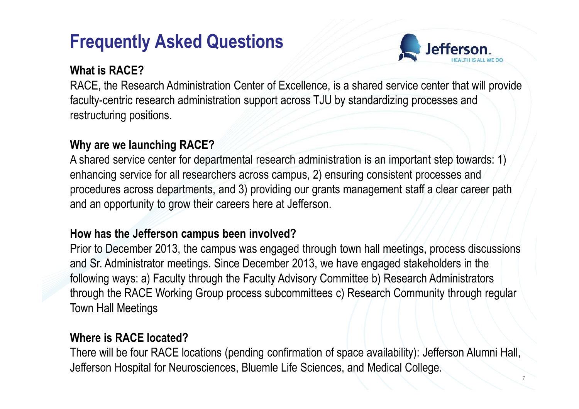### **Frequently Asked Questions**



7

#### **What is RACE?**

 RACE, the Research Administration Center of Excellence, is a shared service center that will provide faculty-centric research administration support across TJU by standardizing processes and restructuring positions.

#### **Why are we launching RACE?**

 A shared service center for departmental research administration is an important step towards: 1) enhancing service for all researchers across campus, 2) ensuring consistent processes and procedures across departments, and 3) providing our grants management staff a clear career path and an opportunity to grow their careers here at Jefferson.

#### **How has the Jefferson campus been involved?**

 Prior to December 2013, the campus was engaged through town hall meetings, process discussions and Sr. Administrator meetings. Since December 2013, we have engaged stakeholders in the following ways: a) Faculty through the Faculty Advisory Committee b) Research Administrators through the RACE Working Group process subcommittees c) Research Community through regular Town Hall Meetings

#### **Where is RACE located?**

 There will be four RACE locations (pending confirmation of space availability): Jefferson Alumni Hall,Jefferson Hospital for Neurosciences, Bluemle Life Sciences, and Medical College.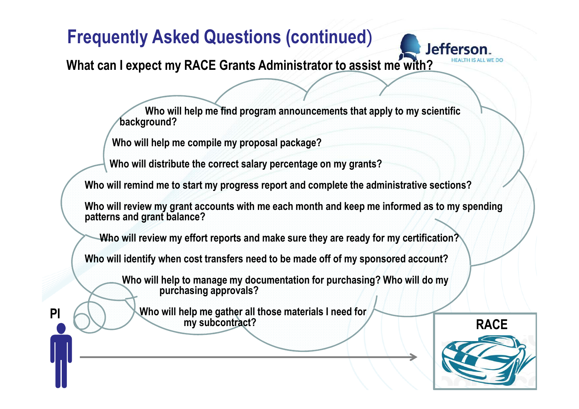**What can I expect my RACE Grants Administrator to assist me with?**

**Who will help me find program announcements that apply to my scientific background?**

**Who will help me compile my proposal package?** 

**Who will distribute the correct salary percentage on my grants?**

**Who will remind me to start my progress report and complete the administrative sections?**

**Who will review my grant accounts with me each month and keep me informed as to my spending patterns and grant balance?**

**Who will review my effort reports and make sure they are ready for my certification?**

**Who will identify when cost transfers need to be made off of my sponsored account?**

**Who will help to manage my documentation for purchasing? Who will do my purchasing approvals?**

**PI**  $\bigcirc$  Who will help me gather all those materials I need for *my subcontract?* **my subcontract?**



**Jefferson**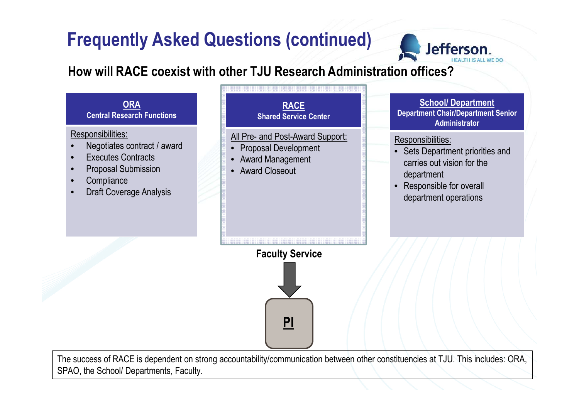

#### **How will RACE coexist with other TJU Research Administration offices?**



The success of RACE is dependent on strong accountability/communication between other constituencies at TJU. This includes: ORA,SPAO, the School/ Departments, Faculty.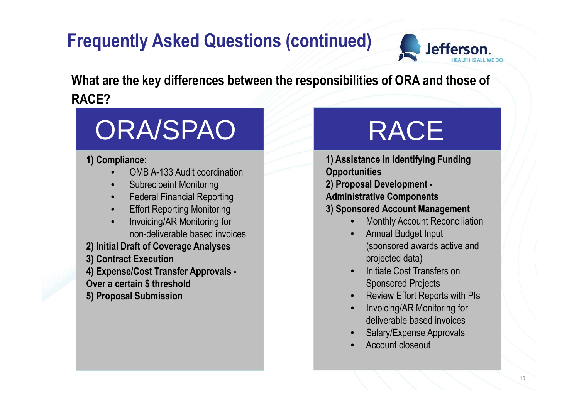

**What are the key differences between the responsibilities of ORA and those of RACE?**

# ORA/SPAO

#### **1) Compliance**:

- •OMB A-133 Audit coordination
- •Subrecipeint Monitoring
- **•** Federal Financial Reporting •
- Effort Reporting Monitoring•
- Invoicing/AR Monitoring for •non-deliverable based invoices
- **2) Initial Draft of Coverage Analyses**
- **3) Contract Execution**
- **4) Expense/Cost Transfer Approvals -Over a certain \$ threshold**
- **5) Proposal Submission**

# RACE

 **1) Assistance in Identifying Funding Opportunities 2) Proposal Development -Administrative Components 3) Sponsored Account Management**•Monthly Account Reconciliation

- • Annual Budget Input (sponsored awards active and projected data)
- • Initiate Cost Transfers on Sponsored Projects
- Review Effort Reports with PIs •
- • Invoicing/AR Monitoring for deliverable based invoices
- Salary/Expense Approvals •
- •Account closeout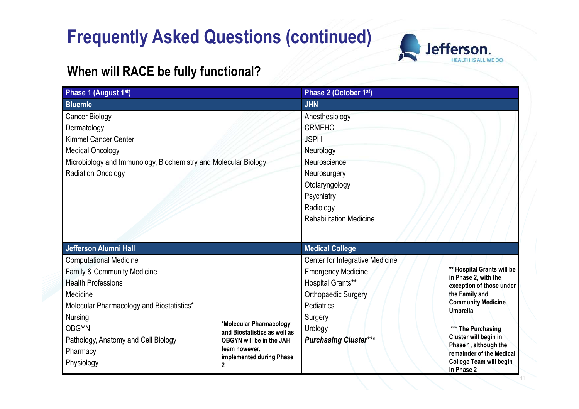

### **When will RACE be fully functional?**

| Phase 1 (August 1st)                                                                                                                                                                                                                                             |                                                                                                                                                 | Phase 2 (October 1st)                                                                                                                                                                      |                                                                                                                                                                                                                                                                                                      |  |  |  |
|------------------------------------------------------------------------------------------------------------------------------------------------------------------------------------------------------------------------------------------------------------------|-------------------------------------------------------------------------------------------------------------------------------------------------|--------------------------------------------------------------------------------------------------------------------------------------------------------------------------------------------|------------------------------------------------------------------------------------------------------------------------------------------------------------------------------------------------------------------------------------------------------------------------------------------------------|--|--|--|
| <b>Bluemle</b>                                                                                                                                                                                                                                                   |                                                                                                                                                 | <b>JHN</b>                                                                                                                                                                                 |                                                                                                                                                                                                                                                                                                      |  |  |  |
| Cancer Biology<br>Dermatology<br><b>Kimmel Cancer Center</b><br><b>Medical Oncology</b><br>Microbiology and Immunology, Biochemistry and Molecular Biology<br><b>Radiation Oncology</b>                                                                          |                                                                                                                                                 | Anesthesiology<br><b>CRMEHC</b><br><b>JSPH</b><br>Neurology<br>Neuroscience<br>Neurosurgery<br>Otolaryngology<br>Psychiatry<br>Radiology<br><b>Rehabilitation Medicine</b>                 |                                                                                                                                                                                                                                                                                                      |  |  |  |
| <b>Jefferson Alumni Hall</b>                                                                                                                                                                                                                                     |                                                                                                                                                 | <b>Medical College</b>                                                                                                                                                                     |                                                                                                                                                                                                                                                                                                      |  |  |  |
| <b>Computational Medicine</b><br><b>Family &amp; Community Medicine</b><br><b>Health Professions</b><br>Medicine<br>Molecular Pharmacology and Biostatistics*<br><b>Nursing</b><br><b>OBGYN</b><br>Pathology, Anatomy and Cell Biology<br>Pharmacy<br>Physiology | *Molecular Pharmacology<br>and Biostatistics as well as<br>OBGYN will be in the JAH<br>team however,<br>implemented during Phase<br>$\mathbf 2$ | Center for Integrative Medicine<br><b>Emergency Medicine</b><br><b>Hospital Grants**</b><br>Orthopaedic Surgery<br><b>Pediatrics</b><br>Surgery<br>Urology<br><b>Purchasing Cluster***</b> | ** Hospital Grants will be<br>in Phase 2, with the<br>exception of those under<br>the Family and<br><b>Community Medicine</b><br><b>Umbrella</b><br>*** The Purchasing<br>Cluster will begin in<br>Phase 1, although the<br>remainder of the Medical<br><b>College Team will begin</b><br>in Phase 2 |  |  |  |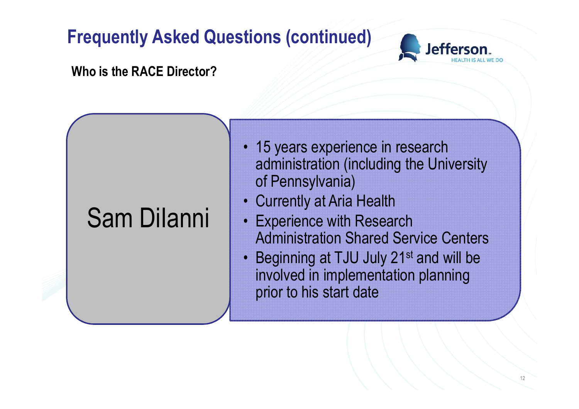

#### **Who is the RACE Director?**

# Sam DiIanni

- 15 years experience in research administration (including the University of Pennsylvania)
- Currently at Aria Health
- Experience with Research Administration Shared Service Centers
- •Beginning at TJU July 21<sup>st</sup> and will be involved in implementation planning prior to his start date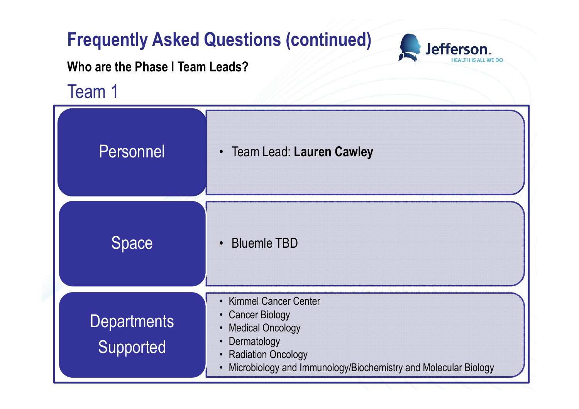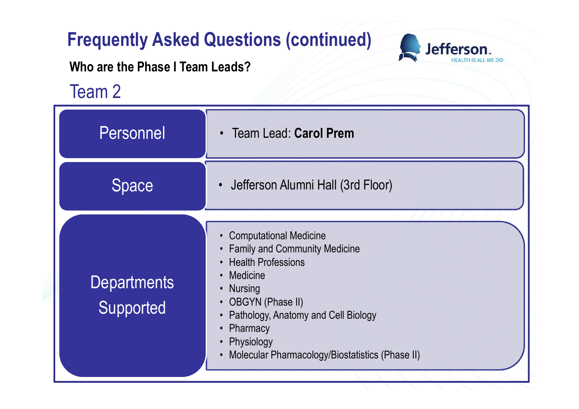

**Who are the Phase I Team Leads?**

Team 2

| Personnel                       | • Team Lead: Carol Prem                                                                                                                                                                                                                                                                |
|---------------------------------|----------------------------------------------------------------------------------------------------------------------------------------------------------------------------------------------------------------------------------------------------------------------------------------|
| Space                           | • Jefferson Alumni Hall (3rd Floor)                                                                                                                                                                                                                                                    |
| <b>Departments</b><br>Supported | <b>Computational Medicine</b><br>• Family and Community Medicine<br><b>Health Professions</b><br>• Medicine<br>• Nursing<br><b>OBGYN (Phase II)</b><br>Pathology, Anatomy and Cell Biology<br>$\bullet$<br>Pharmacy<br>Physiology<br>• Molecular Pharmacology/Biostatistics (Phase II) |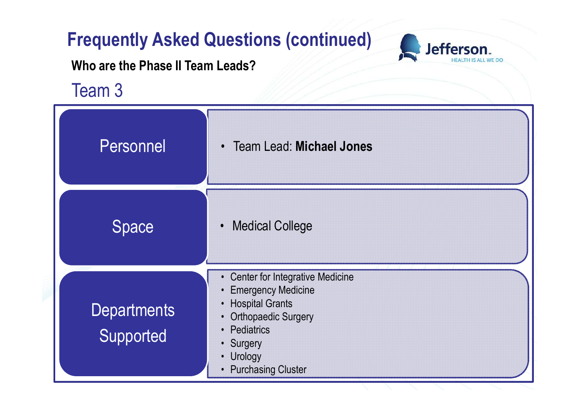



**Who are the Phase II Team Leads?**

Team 3

| Personnel                       | <b>Team Lead: Michael Jones</b><br>$\bullet$                                                                                                                                                                                                                    |
|---------------------------------|-----------------------------------------------------------------------------------------------------------------------------------------------------------------------------------------------------------------------------------------------------------------|
| <b>Space</b>                    | <b>Medical College</b><br>$\bullet$                                                                                                                                                                                                                             |
| <b>Departments</b><br>Supported | <b>Center for Integrative Medicine</b><br><b>Emergency Medicine</b><br>$\bullet$<br><b>Hospital Grants</b><br><b>Orthopaedic Surgery</b><br>$\bullet$<br>Pediatrics<br>$\bullet$<br>• Surgery<br>Urology<br>$\bullet$<br><b>Purchasing Cluster</b><br>$\bullet$ |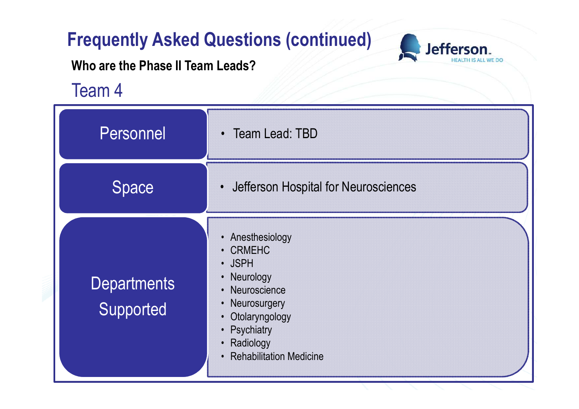

**Who are the Phase II Team Leads?**

Team 4

| Personnel                       | • Team Lead: TBD                                                                                                                                                  |  |  |  |
|---------------------------------|-------------------------------------------------------------------------------------------------------------------------------------------------------------------|--|--|--|
| <b>Space</b>                    | Jefferson Hospital for Neurosciences                                                                                                                              |  |  |  |
| <b>Departments</b><br>Supported | • Anesthesiology<br>• CRMEHC<br>· JSPH<br>Neurology<br>• Neuroscience<br>Neurosurgery<br>Otolaryngology<br>• Psychiatry<br>Radiology<br>• Rehabilitation Medicine |  |  |  |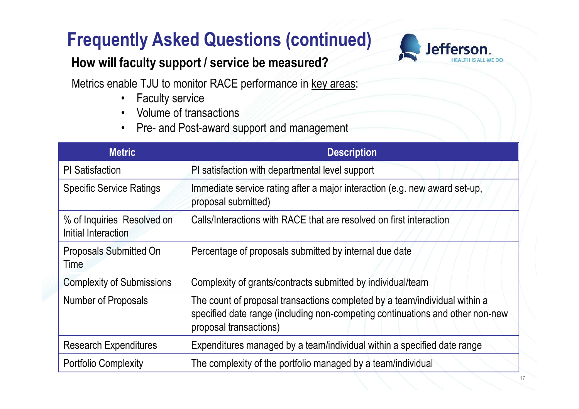### **How will faculty support / service be measured?**



Metrics enable TJU to monitor RACE performance in key areas:

- •Faculty service
- Volume of transactions•
- Pre- and Post-award support and management•

| <b>Metric</b>                                     | <b>Description</b>                                                                                                                                                                    |
|---------------------------------------------------|---------------------------------------------------------------------------------------------------------------------------------------------------------------------------------------|
| <b>PI</b> Satisfaction                            | PI satisfaction with departmental level support                                                                                                                                       |
| <b>Specific Service Ratings</b>                   | Immediate service rating after a major interaction (e.g. new award set-up,<br>proposal submitted)                                                                                     |
| % of Inquiries Resolved on<br>Initial Interaction | Calls/Interactions with RACE that are resolved on first interaction                                                                                                                   |
| Proposals Submitted On<br>Time                    | Percentage of proposals submitted by internal due date                                                                                                                                |
| <b>Complexity of Submissions</b>                  | Complexity of grants/contracts submitted by individual/team                                                                                                                           |
| Number of Proposals                               | The count of proposal transactions completed by a team/individual within a<br>specified date range (including non-competing continuations and other non-new<br>proposal transactions) |
| <b>Research Expenditures</b>                      | Expenditures managed by a team/individual within a specified date range                                                                                                               |
| <b>Portfolio Complexity</b>                       | The complexity of the portfolio managed by a team/individual                                                                                                                          |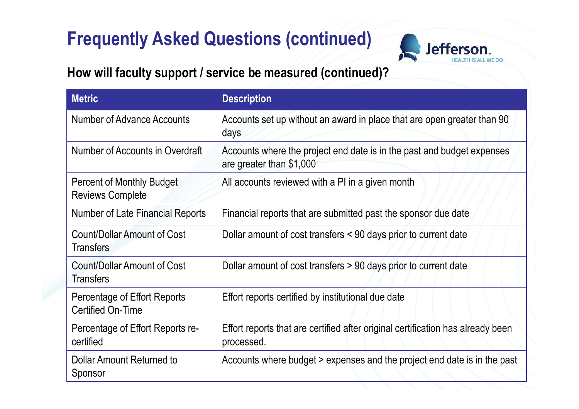

### **How will faculty support / service be measured (continued)?**

| <b>Metric</b>                                               | <b>Description</b>                                                                                 |
|-------------------------------------------------------------|----------------------------------------------------------------------------------------------------|
| <b>Number of Advance Accounts</b>                           | Accounts set up without an award in place that are open greater than 90<br>days                    |
| Number of Accounts in Overdraft                             | Accounts where the project end date is in the past and budget expenses<br>are greater than \$1,000 |
| <b>Percent of Monthly Budget</b><br><b>Reviews Complete</b> | All accounts reviewed with a PI in a given month                                                   |
| <b>Number of Late Financial Reports</b>                     | Financial reports that are submitted past the sponsor due date                                     |
| Count/Dollar Amount of Cost<br><b>Transfers</b>             | Dollar amount of cost transfers < 90 days prior to current date                                    |
| Count/Dollar Amount of Cost<br><b>Transfers</b>             | Dollar amount of cost transfers > 90 days prior to current date                                    |
| Percentage of Effort Reports<br><b>Certified On-Time</b>    | Effort reports certified by institutional due date                                                 |
| Percentage of Effort Reports re-<br>certified               | Effort reports that are certified after original certification has already been<br>processed.      |
| Dollar Amount Returned to<br>Sponsor                        | Accounts where budget > expenses and the project end date is in the past                           |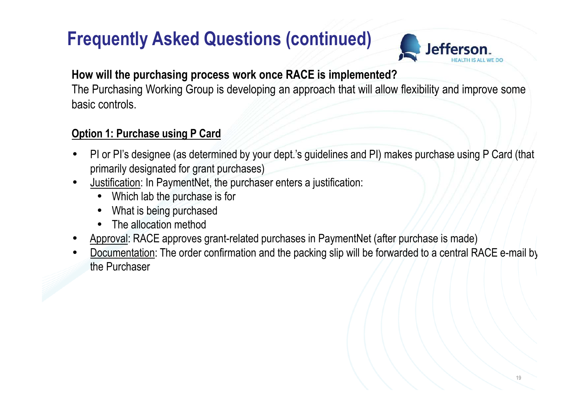

#### **How will the purchasing process work once RACE is implemented?**

 The Purchasing Working Group is developing an approach that will allow flexibility and improve some basic controls.

#### **Option 1: Purchase using P Card**

- •PI or PI's designee (as determined by your dept.'s guidelines and PI) makes purchase using P Card (that primarily designated for grant purchases)
- Justification: In PaymentNet, the purchaser enters a justification: •
	- •Which lab the purchase is for
	- •What is being purchased
	- •The allocation method
- •Approval: RACE approves grant-related purchases in PaymentNet (after purchase is made)
- • Documentation: The order confirmation and the packing slip will be forwarded to a central RACE e-mail by the Purchaser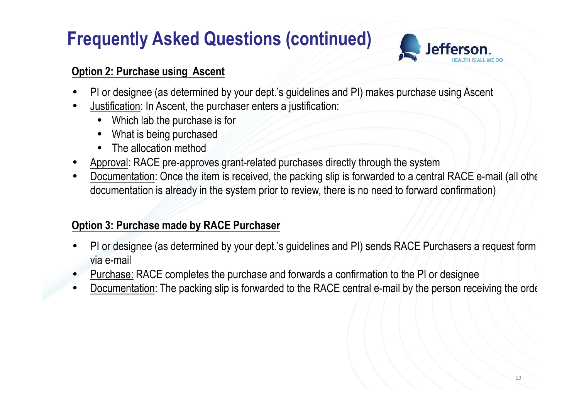

#### **Option 2: Purchase using Ascent**

- •PI or designee (as determined by your dept.'s guidelines and PI) makes purchase using Ascent
- •Justification: In Ascent, the purchaser enters a justification:
	- •Which lab the purchase is for
	- •What is being purchased
	- •The allocation method
- •Approval: RACE pre-approves grant-related purchases directly through the system
- •Documentation: Once the item is received, the packing slip is forwarded to a central RACE e-mail (all other documentation is already in the system prior to review, there is no need to forward confirmation)

#### **Option 3: Purchase made by RACE Purchaser**

- • PI or designee (as determined by your dept.'s guidelines and PI) sends RACE Purchasers a request form via e-mail
- •Purchase: RACE completes the purchase and forwards a confirmation to the PI or designee
- •Documentation: The packing slip is forwarded to the RACE central e-mail by the person receiving the order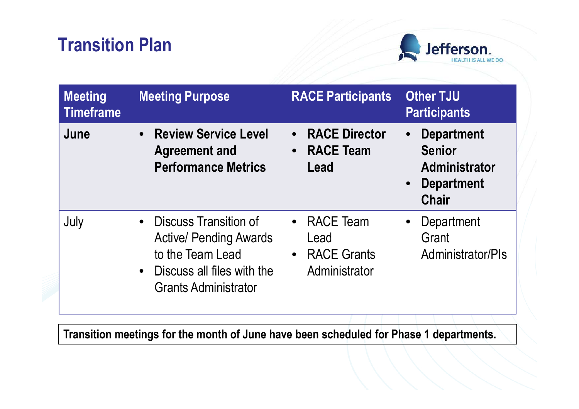## **Transition Plan**



| <b>Meeting</b><br><b>Timeframe</b> | <b>Meeting Purpose</b>                                                                                                                                 | <b>RACE Participants</b>                                                   | <b>Other TJU</b><br><b>Participants</b>                                                         |
|------------------------------------|--------------------------------------------------------------------------------------------------------------------------------------------------------|----------------------------------------------------------------------------|-------------------------------------------------------------------------------------------------|
| June                               | • Review Service Level<br><b>Agreement and</b><br><b>Performance Metrics</b>                                                                           | <b>RACE Director</b><br>$\bullet$<br><b>RACE Team</b><br>$\bullet$<br>Lead | <b>Department</b><br><b>Senior</b><br><b>Administrator</b><br><b>Department</b><br><b>Chair</b> |
| July                               | Discuss Transition of<br>$\bullet$<br><b>Active/ Pending Awards</b><br>to the Team Lead<br>• Discuss all files with the<br><b>Grants Administrator</b> | • RACE Team<br>Lead<br><b>RACE Grants</b><br>$\bullet$<br>Administrator    | Department<br>Grant<br>Administrator/PIs                                                        |

**Transition meetings for the month of June have been scheduled for Phase 1 departments.**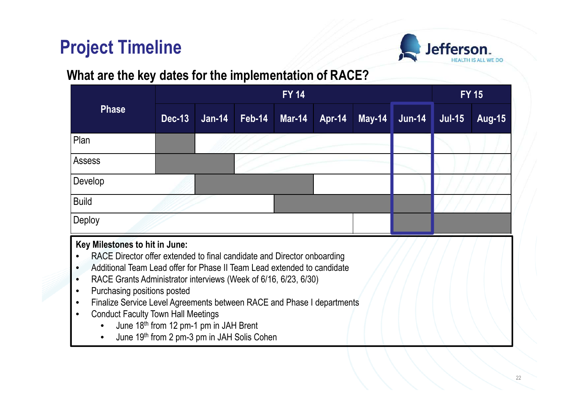### **Project Timeline**



### **What are the key dates for the implementation of RACE?**

|                                                                                                                                                                                                                                                                                                                                                                                                                                                                                                          | <b>FY 14</b>                                                                          |          |               |               |               | $FY$ 15       |          |               |               |
|----------------------------------------------------------------------------------------------------------------------------------------------------------------------------------------------------------------------------------------------------------------------------------------------------------------------------------------------------------------------------------------------------------------------------------------------------------------------------------------------------------|---------------------------------------------------------------------------------------|----------|---------------|---------------|---------------|---------------|----------|---------------|---------------|
| <b>Phase</b>                                                                                                                                                                                                                                                                                                                                                                                                                                                                                             | <b>Dec-13</b>                                                                         | $Jan-14$ | <b>Feb-14</b> | <b>Mar-14</b> | <b>Apr-14</b> | <b>May-14</b> | $Jun-14$ | <b>Jul-15</b> | <b>Aug-15</b> |
| Plan                                                                                                                                                                                                                                                                                                                                                                                                                                                                                                     |                                                                                       |          |               |               |               |               |          |               |               |
| <b>Assess</b>                                                                                                                                                                                                                                                                                                                                                                                                                                                                                            |                                                                                       |          |               |               |               |               |          |               |               |
| Develop                                                                                                                                                                                                                                                                                                                                                                                                                                                                                                  |                                                                                       |          |               |               |               |               |          |               |               |
| <b>Build</b>                                                                                                                                                                                                                                                                                                                                                                                                                                                                                             |                                                                                       |          |               |               |               |               |          |               |               |
| Deploy                                                                                                                                                                                                                                                                                                                                                                                                                                                                                                   |                                                                                       |          |               |               |               |               |          |               |               |
| Key Milestones to hit in June:<br>RACE Director offer extended to final candidate and Director onboarding<br>Additional Team Lead offer for Phase II Team Lead extended to candidate<br>$\bullet$<br>RACE Grants Administrator interviews (Week of 6/16, 6/23, 6/30)<br>$\bullet$<br>Purchasing positions posted<br>$\bullet$<br>Finalize Service Level Agreements between RACE and Phase I departments<br>$\bullet$<br><b>Conduct Faculty Town Hall Meetings</b><br>$\bullet$<br>$\bullet$<br>$\bullet$ | June 18th from 12 pm-1 pm in JAH Brent<br>June 19th from 2 pm-3 pm in JAH Solis Cohen |          |               |               |               |               |          |               |               |